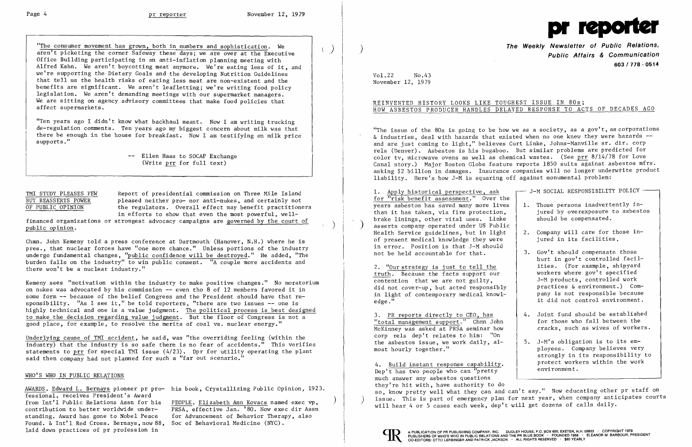"The consumer movement has grown, both in numbers and sophistication. We aren't picketing the corner Safeway these days; we are over at the Executive Office Building participating in an anti~inf1ation planning meeting with Alfred Kahn. We aren't boycotting meat anymore. We're eating less of it, and we're supporting the Dietary Goals and the developing Nutrition Guidelines that tell us the health risks of eating less meat are non-existent and the benefits are significant. We aren't leafletting; we're writing food policy legislation. We aren't demanding meetings with our supermarket managers. We are sitting on agency advisory committees that make food policies that affect supermarkets.

"Ten years ago I didn't know what backhau1 meant. Now I am writing trucking de-regulation comments. Ten years ago my biggest concern about milk was that there be enough in the house for breakfast. Now I am testifying on milk price supports. "

> -- Ellen Haas to SOCAP Exchange (Write prr for full text)

Chmn. John Kemeny told a press conference at Dartmouth (Hanover, N.H.) where he is pres., that nuclear forces have "one more chance." Unless portions of the industry undergo fundamental changes, "public confidence will be destroyed." He added, "The burden falls on the industry" to win public consent. "A couple more accidents and there won't be a nuclear industry."

TMI STUDY PLEASES FEW Report of presidential commission on Three Mile Island BUT REASSERTS POWER pleased neither pro- nor anti-nukes, and certainly not OF PUBLIC OPINION the regulators. Overall effect may benefit practitioners in efforts to show that even the most powerful, we11

financed organizations or strongest advocacy campaigns are <u>governed by the court of</u> (exception)

from Int'l Public Relations Assn for his PEOPLE. Elizabeth Ann Kovacs named exec vp,<br>contribution to better worldwide under-<br> $PRSA$ , effective Jan. '80. Now exec dir Assn PRSA, effective Jan. '80. Now exec dir Assn standing. Award has gone to Nobel Peace for Advancement of Behavior Therapy, also

"The issue of the  $80s$  is going to be how we as a society, as a gov't, as corporations & industries, deal with hazards that existed when no one knew they were hazards -and are just coming to light," believes Curt Linke, Johns-Manville sr. dir. corp re1s (Denver). Asbestos is his bugaboo. But similar problems are predicted for color tv, microwave ovens as well as chemical wastes. (See  $\frac{\text{prr}}{14/78}$  for Love Canal story.) Major Boston Globe feature reports 1850 suits against asbestos mfrs. asking \$2 billion in damages. Insurance companies will no longer underwrite product liability. Here's how J-M is squaring off against monumental problem:

Kemeny sees "motivation within the industry to make positive changes." No moratorium on nukes was advocated by his commission -- even tho 8 of 12 members favored it in some form -- because of the belief Congress and the President should have that re sponsibility. "As I see it," he told reporters, "there are two issues -- one is highly technical and one is a value judgment. The political process is best designed to make the decision regarding value judgment. But the floor of Congress is not a good place, for example, to resolve the merits of coal vs , nuclear energy."

truth. Because the facts support our 2. "Our strategy is just to tell the contention that we are not guilty, did not cover-up, but acted responsibly in light of contemporary medical know  $l$ edge." it did not control environment.

"total management support." Chmn John 3. PR reports directly to CEO, has McKinney was asked at PRSA seminar how corp rels dep't relates to him: "On the asbestos issue, we work daily, al-  $\vert$  5. J-M's obligation is to its emmost hourly together." <br>
ployees. Company believes very

4. <u>Build instant response capability</u>. protect works protect work  $Dep'$ t has two people who can "pretty much answer any asbestos questions they're hit with, have authority to do so, know pretty well what they can and can't say." Now educating other pr staff on issue. This is part of emergency plan for next year, when company anticipates courts will hear 4 or 5 cases each week, dep't will get dozens of calls daily.



Underlying cause of TMI accident, he said, was "the overriding feeling (within the industry) that the industry is so safe there is no fear of accidents." This verifies statements to prr for special TMI issue  $(4/23)$ . Dpr for utility operating the plant said then company had not planned for such a "far out scenario."

## WHO'S WHO IN PUBLIC RELATIONS

fessional, receives President's Award Found. & Int'l Red Cross. Bernays, now 88, Soc of Behavioral Medicine (NYC).

AWARDS. Edward L. Bernays pioneer pr pro- his book, Crystallizing Public Opinion, 1923.



**The Weekly Newsletter of Public Relations,** ) **Public Affairs & Communication 603/778·0514** 

- J-M SOCIAL RESPONSIBILITY POLICY -

Vo1.22 No.43 November 12, 1979

## REINVENTED HISTORY LOOKS LIKE TOUGHEST ISSUE IN 80s; HOW ASBESTOS PRODUCER HANDLES DELAYED RESPONSE TO ACTS OF DECADES AGO

|  | 1. Those persons inadvertently in- |  |                                   |
|--|------------------------------------|--|-----------------------------------|
|  |                                    |  | jured by overexposure to asbestos |
|  | should be compensated.             |  |                                   |

- jured in its facilities.
- 3. Gov't should compensate those hurt in gov't controlled facilities. (For example, shipyard workers where gov't specified J-M products, controlled work practices & environment.) Com-<br>pany is not responsible because
	- 4. Joint fund should be established for those who fall between the<br>cracks, such as wives of workers.
	- strongly in its responsibility to<br>protect workers within the work

for "risk benefit assessment." Over the years asbestos has saved many more lives 1. Apply historical perspective, ask than it has taken, via fire protection, brake linings, other vital uses. Linke ) asserts company operated under US Public Health Service guidelines, but in light  $\vert$  2. Company will care for those inof present medical knowledge they were in error. Position is that J-M should not be held accountable for that.